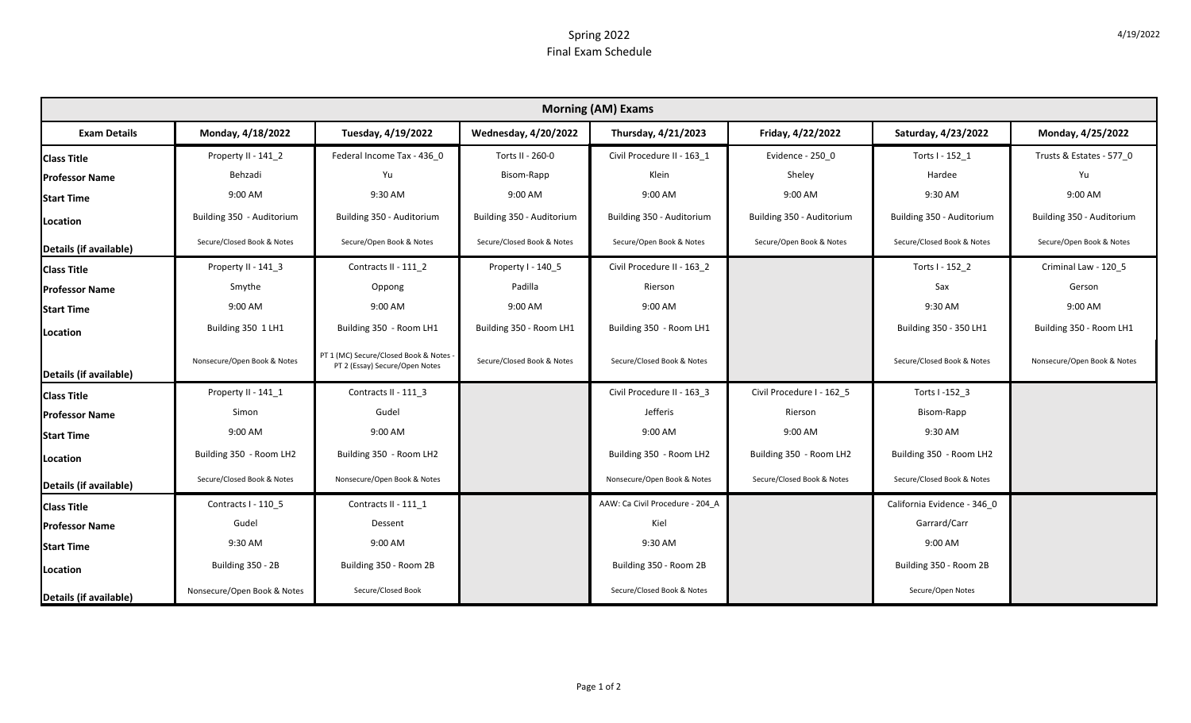## Spring 2022 Final Exam Schedule

| <b>Morning (AM) Exams</b> |                             |                                                                          |                             |                                 |                            |                             |                             |  |  |  |  |
|---------------------------|-----------------------------|--------------------------------------------------------------------------|-----------------------------|---------------------------------|----------------------------|-----------------------------|-----------------------------|--|--|--|--|
| <b>Exam Details</b>       | Monday, 4/18/2022           | Tuesday, 4/19/2022                                                       | <b>Wednesday, 4/20/2022</b> | Thursday, 4/21/2023             | Friday, 4/22/2022          | Saturday, 4/23/2022         | Monday, 4/25/2022           |  |  |  |  |
| <b>Class Title</b>        | Property II - 141 2         | Federal Income Tax - 436 0                                               | Torts II - 260-0            | Civil Procedure II - 163 1      | Evidence - 250 0           | Torts I - 152 1             | Trusts & Estates - 577_0    |  |  |  |  |
| <b>Professor Name</b>     | Behzadi                     | Yu                                                                       | Bisom-Rapp                  | Klein                           | Sheley                     | Hardee                      | Yu                          |  |  |  |  |
| <b>Start Time</b>         | 9:00 AM                     | 9:30 AM                                                                  | 9:00 AM                     | 9:00 AM                         | 9:00 AM                    | 9:30 AM                     | 9:00 AM                     |  |  |  |  |
| Location                  | Building 350 - Auditorium   | Building 350 - Auditorium                                                | Building 350 - Auditorium   | Building 350 - Auditorium       | Building 350 - Auditorium  | Building 350 - Auditorium   | Building 350 - Auditorium   |  |  |  |  |
| Details (if available)    | Secure/Closed Book & Notes  | Secure/Open Book & Notes                                                 | Secure/Closed Book & Notes  | Secure/Open Book & Notes        | Secure/Open Book & Notes   | Secure/Closed Book & Notes  | Secure/Open Book & Notes    |  |  |  |  |
| <b>Class Title</b>        | Property II - 141 3         | Contracts II - 111 2                                                     | Property I - 140 5          | Civil Procedure II - 163 2      |                            | Torts I - 152 2             | Criminal Law - 120 5        |  |  |  |  |
| <b>Professor Name</b>     | Smythe                      | Oppong                                                                   | Padilla                     | Rierson                         |                            | Sax                         | Gerson                      |  |  |  |  |
| <b>Start Time</b>         | 9:00 AM                     | 9:00 AM                                                                  | 9:00 AM                     | 9:00 AM                         |                            | 9:30 AM                     | 9:00 AM                     |  |  |  |  |
| Location                  | Building 350 1 LH1          | Building 350 - Room LH1                                                  | Building 350 - Room LH1     | Building 350 - Room LH1         |                            | Building 350 - 350 LH1      | Building 350 - Room LH1     |  |  |  |  |
| Details (if available)    | Nonsecure/Open Book & Notes | PT 1 (MC) Secure/Closed Book & Notes -<br>PT 2 (Essay) Secure/Open Notes | Secure/Closed Book & Notes  | Secure/Closed Book & Notes      |                            | Secure/Closed Book & Notes  | Nonsecure/Open Book & Notes |  |  |  |  |
| <b>Class Title</b>        | Property II - 141 1         | Contracts II - 111_3                                                     |                             | Civil Procedure II - 163_3      | Civil Procedure I - 162_5  | Torts I-152 3               |                             |  |  |  |  |
| <b>Professor Name</b>     | Simon                       | Gudel                                                                    |                             | Jefferis                        | Rierson                    | Bisom-Rapp                  |                             |  |  |  |  |
| <b>Start Time</b>         | 9:00 AM                     | 9:00 AM                                                                  |                             | 9:00 AM                         | 9:00 AM                    | 9:30 AM                     |                             |  |  |  |  |
| Location                  | Building 350 - Room LH2     | Building 350 - Room LH2                                                  |                             | Building 350 - Room LH2         | Building 350 - Room LH2    | Building 350 - Room LH2     |                             |  |  |  |  |
| Details (if available)    | Secure/Closed Book & Notes  | Nonsecure/Open Book & Notes                                              |                             | Nonsecure/Open Book & Notes     | Secure/Closed Book & Notes | Secure/Closed Book & Notes  |                             |  |  |  |  |
| <b>Class Title</b>        | Contracts I - 110 5         | Contracts II - 111 1                                                     |                             | AAW: Ca Civil Procedure - 204 A |                            | California Evidence - 346_0 |                             |  |  |  |  |
| <b>Professor Name</b>     | Gudel                       | Dessent                                                                  |                             | Kiel                            |                            | Garrard/Carr                |                             |  |  |  |  |
| <b>Start Time</b>         | 9:30 AM                     | 9:00 AM                                                                  |                             | 9:30 AM                         |                            | 9:00 AM                     |                             |  |  |  |  |
| Location                  | Building 350 - 2B           | Building 350 - Room 2B                                                   |                             | Building 350 - Room 2B          |                            | Building 350 - Room 2B      |                             |  |  |  |  |
| Details (if available)    | Nonsecure/Open Book & Notes | Secure/Closed Book                                                       |                             | Secure/Closed Book & Notes      |                            | Secure/Open Notes           |                             |  |  |  |  |